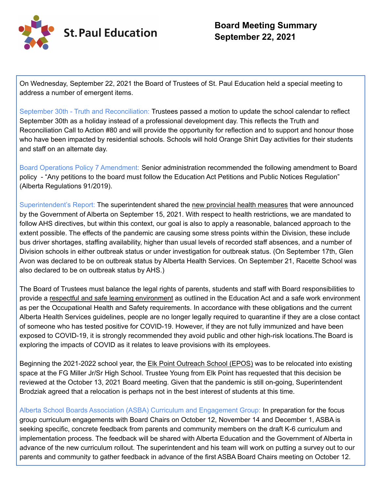

On Wednesday, September 22, 2021 the Board of Trustees of St. Paul Education held a special meeting to address a number of emergent items.

September 30th - Truth and Reconciliation: Trustees passed a motion to update the school calendar to reflect September 30th as a holiday instead of a professional development day. This reflects the Truth and Reconciliation Call to Action #80 and will provide the opportunity for reflection and to support and honour those who have been impacted by residential schools. Schools will hold Orange Shirt Day activities for their students and staff on an alternate day.

Board Operations Policy 7 Amendment: Senior administration recommended the following amendment to Board policy - "Any petitions to the board must follow the Education Act Petitions and Public Notices Regulation" (Alberta Regulations 91/2019).

Superintendent's Report: The superintendent shared the new provincial health measures that were announced by the Government of Alberta on September 15, 2021. With respect to health restrictions, we are mandated to follow AHS directives, but within this context, our goal is also to apply a reasonable, balanced approach to the extent possible. The effects of the pandemic are causing some stress points within the Division, these include bus driver shortages, staffing availability, higher than usual levels of recorded staff absences, and a number of Division schools in either outbreak status or under investigation for outbreak status. (On September 17th, Glen Avon was declared to be on outbreak status by Alberta Health Services. On September 21, Racette School was also declared to be on outbreak status by AHS.)

The Board of Trustees must balance the legal rights of parents, students and staff with Board responsibilities to provide a respectful and safe learning environment as outlined in the Education Act and a safe work environment as per the Occupational Health and Safety requirements. In accordance with these obligations and the current Alberta Health Services guidelines, people are no longer legally required to quarantine if they are a close contact of someone who has tested positive for COVID-19. However, if they are not fully immunized and have been exposed to COVID-19, it is strongly recommended they avoid public and other high-risk locations.The Board is exploring the impacts of COVID as it relates to leave provisions with its employees.

Beginning the 2021-2022 school year, the Elk Point Outreach School (EPOS) was to be relocated into existing space at the FG Miller Jr/Sr High School. Trustee Young from Elk Point has requested that this decision be reviewed at the October 13, 2021 Board meeting. Given that the pandemic is still on-going, Superintendent Brodziak agreed that a relocation is perhaps not in the best interest of students at this time.

Alberta School Boards Association (ASBA) Curriculum and Engagement Group: In preparation for the focus group curriculum engagements with Board Chairs on October 12, November 14 and December 1, ASBA is seeking specific, concrete feedback from parents and community members on the draft K-6 curriculum and implementation process. The feedback will be shared with Alberta Education and the Government of Alberta in advance of the new curriculum rollout. The superintendent and his team will work on putting a survey out to our parents and community to gather feedback in advance of the first ASBA Board Chairs meeting on October 12.